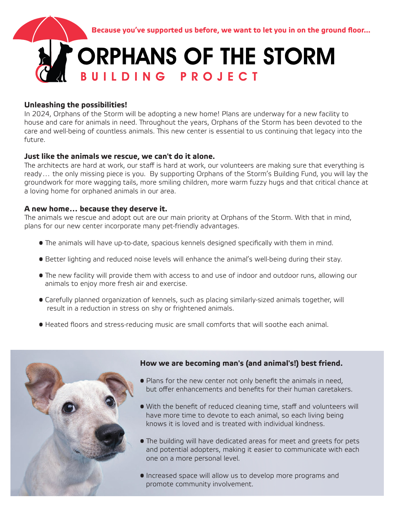

### **Unleashing the possibilities!**

In 2024, Orphans of the Storm will be adopting a new home! Plans are underway for a new facility to house and care for animals in need. Throughout the years, Orphans of the Storm has been devoted to the care and well-being of countless animals. This new center is essential to us continuing that legacy into the future.

### **Just like the animals we rescue, we can't do it alone.**

The architects are hard at work, our staff is hard at work, our volunteers are making sure that everything is ready… the only missing piece is you. By supporting Orphans of the Storm's Building Fund, you will lay the groundwork for more wagging tails, more smiling children, more warm fuzzy hugs and that critical chance at a loving home for orphaned animals in our area.

### **A new home… because they deserve it.**

The animals we rescue and adopt out are our main priority at Orphans of the Storm. With that in mind, plans for our new center incorporate many pet-friendly advantages.

- **•** The animals will have up-to-date, spacious kennels designed specifically with them in mind.
- Better lighting and reduced noise levels will enhance the animal's well-being during their stay.
- The new facility will provide them with access to and use of indoor and outdoor runs, allowing our animals to enjoy more fresh air and exercise.
- Carefully planned organization of kennels, such as placing similarly-sized animals together, will result in a reduction in stress on shy or frightened animals.
- Heated floors and stress-reducing music are small comforts that will soothe each animal.



### **How we are becoming man's (and animal's!) best friend.**

- Plans for the new center not only benefit the animals in need, but offer enhancements and benefits for their human caretakers.
- With the benefit of reduced cleaning time, staff and volunteers will have more time to devote to each animal, so each living being knows it is loved and is treated with individual kindness.
- The building will have dedicated areas for meet and greets for pets and potential adopters, making it easier to communicate with each one on a more personal level.
- Increased space will allow us to develop more programs and promote community involvement.